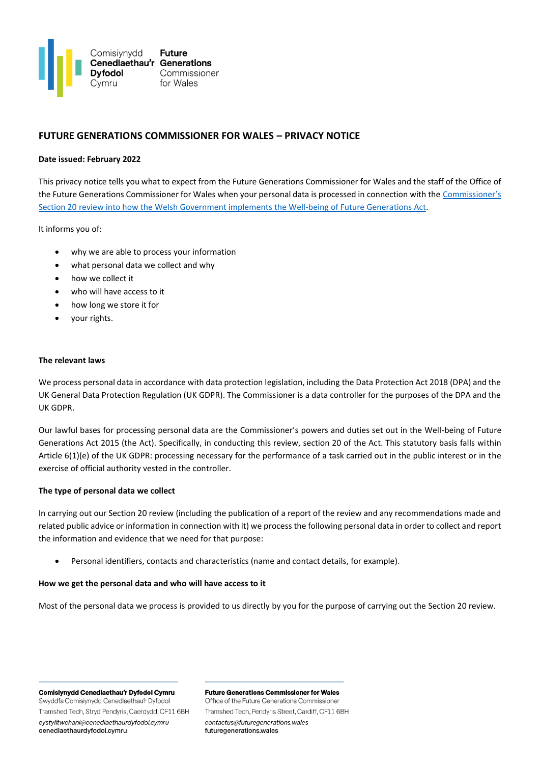

# **FUTURE GENERATIONS COMMISSIONER FOR WALES – PRIVACY NOTICE**

# **Date issued: February 2022**

This privacy notice tells you what to expect from the Future Generations Commissioner for Wales and the staff of the Office of the Future Generations Commissioner for Wales when your personal data is processed in connection with the [Commissioner's](https://www.futuregenerations.wales/section-20/)  [Section 20 review into how the Welsh Government implements the Well-being of Future Generations Act.](https://www.futuregenerations.wales/section-20/)

It informs you of:

- why we are able to process your information
- what personal data we collect and why
- how we collect it
- who will have access to it
- how long we store it for
- your rights.

#### **The relevant laws**

We process personal data in accordance with data protection legislation, including the Data Protection Act 2018 (DPA) and the UK General Data Protection Regulation (UK GDPR). The Commissioner is a data controller for the purposes of the DPA and the UK GDPR.

Our lawful bases for processing personal data are the Commissioner's powers and duties set out in the Well-being of Future Generations Act 2015 (the Act). Specifically, in conducting this review, section 20 of the Act. This statutory basis falls within Article 6(1)(e) of the UK GDPR: processing necessary for the performance of a task carried out in the public interest or in the exercise of official authority vested in the controller.

## **The type of personal data we collect**

In carrying out our Section 20 review (including the publication of a report of the review and any recommendations made and related public advice or information in connection with it) we process the following personal data in order to collect and report the information and evidence that we need for that purpose:

• Personal identifiers, contacts and characteristics (name and contact details, for example).

## **How we get the personal data and who will have access to it**

Most of the personal data we process is provided to us directly by you for the purpose of carrying out the Section 20 review.

Comisiynydd Cenedlaethau'r Dyfodol Cymru Swyddfa Comisiynydd Cenedlaethau'r Dyfodol Tramshed Tech, Stryd Pendyris, Caerdydd, CF11 6BH cystylltwchani@cenedlaethaurdyfodol.cymru cenedlaethaurdyfodol.cymru

**Future Generations Commissioner for Wales** Office of the Future Generations Commissioner Tramshed Tech, Pendyris Street, Cardiff, CF11 6BH contactus@futuregenerations.wales

futuregenerations.wales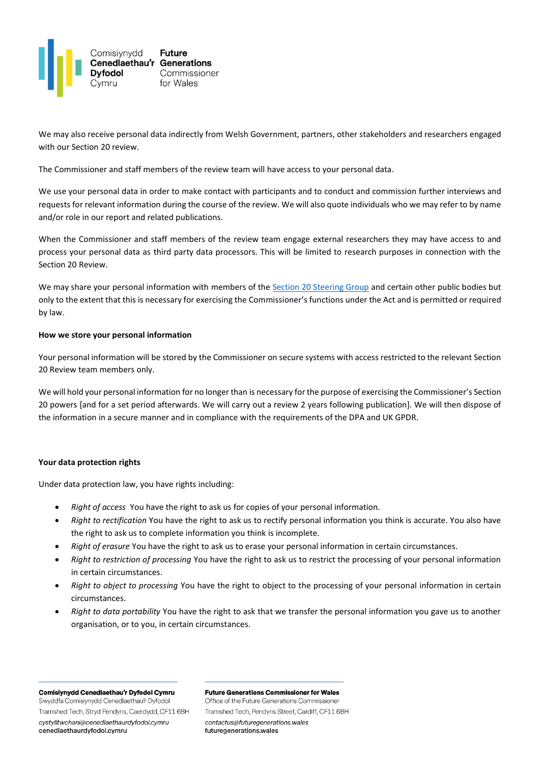

We may also receive personal data indirectly from Welsh Government, partners, other stakeholders and researchers engaged with our Section 20 review.

The Commissioner and staff members of the review team will have access to your personal data.

We use your personal data in order to make contact with participants and to conduct and commission further interviews and requests for relevant information during the course of the review. We will also quote individuals who we may refer to by name and/or role in our report and related publications.

When the Commissioner and staff members of the review team engage external researchers they may have access to and process your personal data as third party data processors. This will be limited to research purposes in connection with the Section 20 Review.

We may share your personal information with members of th[e Section 20 Steering Group](https://www.futuregenerations.wales/section-20-steering-group/) and certain other public bodies but only to the extent that this is necessary for exercising the Commissioner's functions under the Act and is permitted or required by law.

## **How we store your personal information**

Your personal information will be stored by the Commissioner on secure systems with access restricted to the relevant Section 20 Review team members only.

We will hold your personal information for no longer than is necessary for the purpose of exercising the Commissioner's Section 20 powers [and for a set period afterwards. We will carry out a review 2 years following publication]. We will then dispose of the information in a secure manner and in compliance with the requirements of the DPA and UK GPDR.

## **Your data protection rights**

Under data protection law, you have rights including:

- *Right of access* You have the right to ask us for copies of your personal information.
- *Right to rectification* You have the right to ask us to rectify personal information you think is accurate. You also have the right to ask us to complete information you think is incomplete.
- *Right of erasure* You have the right to ask us to erase your personal information in certain circumstances.
- *Right to restriction of processing* You have the right to ask us to restrict the processing of your personal information in certain circumstances.
- *Right to object to processing* You have the right to object to the processing of your personal information in certain circumstances.
- *Right to data portability* You have the right to ask that we transfer the personal information you gave us to another organisation, or to you, in certain circumstances.

Comisiynydd Cenedlaethau'r Dyfodol Cymru Swyddfa Comisiynydd Cenedlaethau'r Dyfodol

Tramshed Tech, Stryd Pendyris, Caerdydd, CF11 6BH cystylltwchani@cenedlaethaurdyfodol.cymru cenedlaethaurdyfodol.cymru

**Future Generations Commissioner for Wales** 

Office of the Future Generations Commissioner Tramshed Tech, Pendyris Street, Cardiff, CF11 6BH contactus@futuregenerations.wales futuregenerations.wales